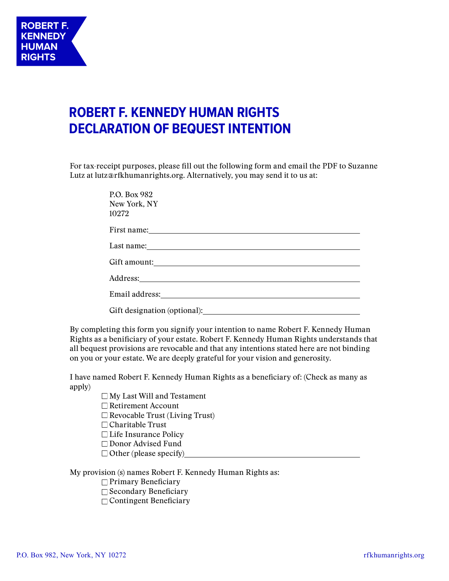## **ROBERT F. KENNEDY HUMAN RIGHTS DECLARATION OF BEQUEST INTENTION**

For tax-receipt purposes, please fill out the following form and email the PDF to Suzanne Lutz at lutz@rfkhumanrights.org. Alternatively, you may send it to us at:

| P.O. Box 982<br>New York, NY<br>10272                               |
|---------------------------------------------------------------------|
|                                                                     |
|                                                                     |
| Gift amount:                                                        |
|                                                                     |
|                                                                     |
| Gift designation (optional):<br><u>City</u> designation (optional): |

By completing this form you signify your intention to name Robert F. Kennedy Human Rights as a benificiary of your estate. Robert F. Kennedy Human Rights understands that all bequest provisions are revocable and that any intentions stated here are not binding on you or your estate. We are deeply grateful for your vision and generosity.

I have named Robert F. Kennedy Human Rights as a beneficiary of: (Check as many as apply)

> $\Box$  My Last Will and Testament  $\Box$  Retirement Account  $\Box$  Revocable Trust (Living Trust)  $\Box$  Charitable Trust Life Insurance Policy Donor Advised Fund  $\Box$  Other (please specify)

My provision (s) names Robert F. Kennedy Human Rights as:

 $\Box$  Primary Beneficiary

 $\Box$  Secondary Beneficiary

 $\Box$  Contingent Beneficiary